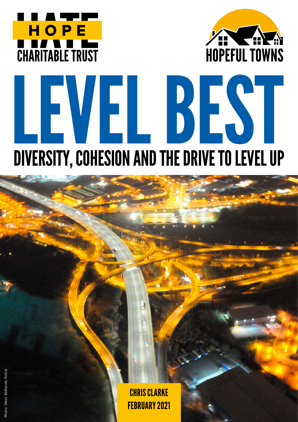



# LEVEL BEST DIVERSITY, COHESION AND THE DRIVE TO LEVEL UP

CHRIS CLARKE FEBRUARY 2021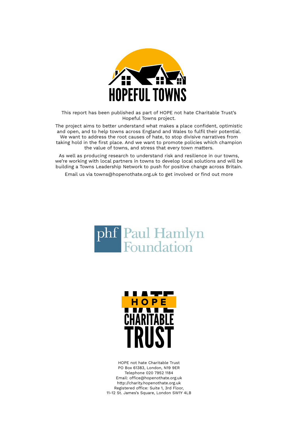

This report has been published as part of HOPE not hate Charitable Trust's Hopeful Towns project.

The project aims to better understand what makes a place confident, optimistic and open, and to help towns across England and Wales to fulfil their potential. We want to address the root causes of hate, to stop divisive narratives from taking hold in the first place. And we want to promote policies which champion the value of towns, and stress that every town matters.

As well as producing research to understand risk and resilience in our towns, we're working with local partners in towns to develop local solutions and will be building a Towns Leadership Network to push for positive change across Britain.

Email us via towns@hopenothate.org.uk to get involved or find out more





HOPE not hate Charitable Trust PO Box 61383, London, N19 9ER Telephone 020 7952 1184 Email: office@hopenothate.org.uk http://charity.hopenothate.org.uk Registered office: Suite 1, 3rd Floor, 11-12 St. James's Square, London SW1Y 4LB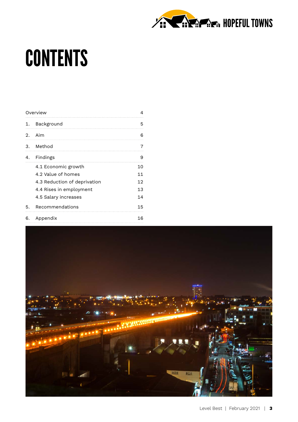

## **CONTENTS**

|    | Overview                     |    |
|----|------------------------------|----|
|    | 1. Background                | 5  |
|    | 2. Aim                       | 6  |
|    | 3. Method                    | 7  |
|    | 4. Findings                  | 9  |
|    | 4.1 Economic growth          | 10 |
|    | 4.2 Value of homes           | 11 |
|    | 4.3 Reduction of deprivation | 12 |
|    | 4.4 Rises in employment      | 13 |
|    | 4.5 Salary increases         | 14 |
| 5. | Recommendations              | 15 |
| 6. | Appendix                     | 16 |

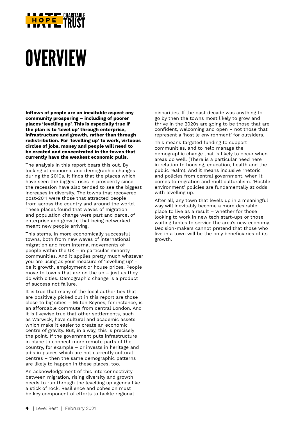

# **OVERVIEW**

**Inflows of people are an inevitable aspect any community prospering – including of poorer places 'levelling up'. This is especially true if the plan is to 'level up' through enterprise, infrastructure and growth, rather than through redistribution. For 'levelling up' to work, virtuous circles of jobs, money and people will need to be created and concentrated in the towns that currently have the weakest economic pulls.**

The analysis in this report bears this out. By looking at economic and demographic changes during the 2010s, it finds that the places which have seen the biggest rises in prosperity since the recession have also tended to see the biggest increases in diversity. The towns that recovered post-2011 were those that attracted people from across the country and around the world. These places found that waves of migration and population change were part and parcel of enterprise and growth; that being networked meant new people arriving.

This stems, in more economically successful towns, both from new waves of international migration and from internal movements of people within the UK – in particular minority communities. And it applies pretty much whatever you are using as your measure of 'levelling up' – be it growth, employment or house prices. People move to towns that are on the up – just as they do with cities. Demographic change is a product of success not failure.

It is true that many of the local authorities that are positively picked out in this report are those close to big cities – Milton Keynes, for instance, is an affordable commute from central London. And it is likewise true that other settlements, such as Warwick, have cultural and academic assets which make it easier to create an economic centre of gravity. But, in a way, this is precisely the point. If the government puts infrastructure in place to connect more remote parts of the country, for example – or invests in heritage and jobs in places which are not currently cultural centres – then the same demographic patterns are likely to happen in these places, too.

An acknowledgement of this interconnectivity between migration, rising diversity and growth needs to run through the levelling up agenda like a stick of rock. Resilience and cohesion must be key component of efforts to tackle regional

disparities. If the past decade was anything to go by then the towns most likely to grow and thrive in the 2020s are going to be those that are confident, welcoming and open – not those that represent a 'hostile environment' for outsiders.

This means targeted funding to support communities, and to help manage the demographic change that is likely to occur when areas do well. (There is a particular need here in relation to housing, education, health and the public realm). And it means inclusive rhetoric and policies from central government, when it comes to migration and multiculturalism. 'Hostile environment' policies are fundamentally at odds with levelling up.

After all, any town that levels up in a meaningful way will inevitably become a more desirable place to live as a result – whether for those looking to work in new tech start-ups or those waiting tables to service the area's new economy. Decision-makers cannot pretend that those who live in a town will be the only beneficiaries of its growth.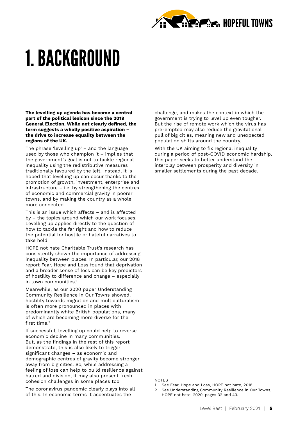

# 1. BACKGROUND

**The levelling up agenda has become a central part of the political lexicon since the 2019 General Election. While not clearly defined, the term suggests a wholly positive aspiration – the drive to increase equality between the regions of the UK.**

The phrase 'levelling up' – and the language used by those who champion it – implies that the government's goal is not to tackle regional inequality using the redistributive measures traditionally favoured by the left. Instead, it is hoped that levelling up can occur thanks to the promotion of growth, investment, enterprise and infrastructure – i.e. by strengthening the centres of economic and commercial gravity in poorer towns, and by making the country as a whole more connected.

This is an issue which affects – and is affected by – the topics around which our work focuses. Levelling up applies directly to the question of how to tackle the far right and how to reduce the potential for hostile or hateful narratives to take hold.

HOPE not hate Charitable Trust's research has consistently shown the importance of addressing inequality between places. In particular, our 2018 report Fear, Hope and Loss found that deprivation and a broader sense of loss can be key predictors of hostility to difference and change – especially in town communities.<sup>1</sup>

Meanwhile, as our 2020 paper Understanding Community Resilience in Our Towns showed, hostility towards migration and multiculturalism is often more pronounced in places with predominantly white British populations, many of which are becoming more diverse for the first time.<sup>2</sup>

If successful, levelling up could help to reverse economic decline in many communities. But, as the findings in the rest of this report demonstrate, this is also likely to trigger significant changes – as economic and demographic centres of gravity become stronger away from big cities. So, while addressing a feeling of loss can help to build resilience against hatred and division, it may also present fresh cohesion challenges in some places too.

The coronavirus pandemic clearly plays into all of this. In economic terms it accentuates the

challenge, and makes the context in which the government is trying to level up even tougher. But the rise of remote work which the virus has pre-empted may also reduce the gravitational pull of big cities, meaning new and unexpected population shifts around the country.

With the UK aiming to fix regional inequality during a period of post-COVID economic hardship, this paper seeks to better understand the interplay between prosperity and diversity in smaller settlements during the past decade.

#### **NOTES**

<sup>1</sup> See [Fear, Hope and Loss](https://www.hopenothate.org.uk/fear-hope-loss/), HOPE not hate, 2018.

<sup>2</sup> See [Understanding Community Resilience in Our Towns](http://www.hopenothate.org.uk/wp-content/uploads/2020/09/Understanding-community-resilience-in-our-towns.pdf), HOPE not hate, 2020, pages 32 and 43.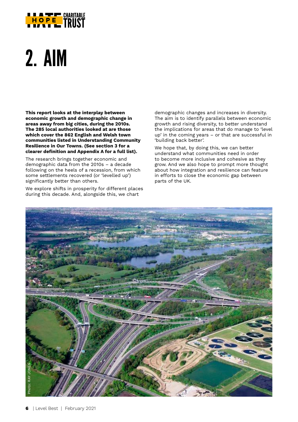

# 2. AIM

**This report looks at the interplay between economic growth and demographic change in areas away from big cities, during the 2010s. The 285 local authorities looked at are those which cover the 862 English and Welsh town communities listed in Understanding Community Resilience in Our Towns. (See section 3 for a clearer definition and Appendix A for a full list).**

The research brings together economic and demographic data from the 2010s – a decade following on the heels of a recession, from which some settlements recovered (or 'levelled up') significantly better than others.

We explore shifts in prosperity for different places during this decade. And, alongside this, we chart

demographic changes and increases in diversity. The aim is to identify parallels between economic growth and rising diversity, to better understand the implications for areas that do manage to 'level up' in the coming years – or that are successful in 'building back better'.

We hope that, by doing this, we can better understand what communities need in order to become more inclusive and cohesive as they grow. And we also hope to prompt more thought about how integration and resilience can feature in efforts to close the economic gap between parts of the UK.

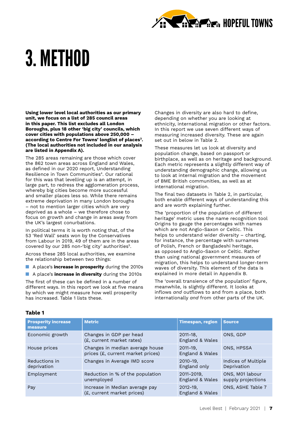

# 3. METHOD

**Using lower level local authorities as our primary unit, we focus on a list of 285 council areas in this paper. This list excludes all London Boroughs, plus 18 other 'big city' councils, which cover cities with populations above 250,000 – according to Centre For Towns' longlist of places3. (The local authorities not included in our analysis are listed in Appendix A).**

The 285 areas remaining are those which cover the 862 town areas across England and Wales, as defined in our 2020 report, Understanding Resilience in Town Communities<sup>4</sup>. Our rational for this was that levelling up is an attempt, in large part, to redress the agglomeration process, whereby big cities become more successful and smaller places less so. While there remains extreme deprivation in many London boroughs – not to mention larger cities which are very deprived as a whole – we therefore chose to focus on growth and change in areas away from the UK's largest conurbations.

In political terms it is worth noting that, of the 53 'Red Wall' seats won by the Conservatives from Labour in 2019, 49 of them are in the areas covered by our 285 non-'big city' authorities<sup>5</sup>.

Across these 285 local authorities, we examine the relationship between two things:

- **n** A place's **increase in prosperity** during the 2010s
- **n** A place's **increase in diversity** during the 2010s

The first of these can be defined in a number of different ways. In this report we look at five means by which we might measure how well prosperity has increased. Table 1 lists these.

Changes in diversity are also hard to define, depending on whether you are looking at ethnicity, international migration or other factors. In this report we use seven different ways of measuring increased diversity. These are again set out in below in Table 2.

These measures let us look at diversity and population change, based on passport or birthplace, as well as on heritage and background. Each metric represents a slightly different way of understanding demographic change, allowing us to look at internal migration and the movement of BME British communities, as well as at international migration.

The final two datasets in Table 2, in particular, both enable different ways of understanding this and are worth explaining further.

The 'proportion of the population of different heritage' metric uses the name recognition tool Origins to gauge the percentages with names which are not Anglo-Saxon or Celtic. This helps to understand wider diversity – charting, for instance, the percentage with surnames of Polish, French or Bangladeshi heritage, as opposed to Anglo-Saxon or Celtic. Rather than using national government measures of migration, this helps to understand longer-term waves of diversity. This element of the data is explained in more detail in Appendix B.

The 'overall transience of the population' figure, meanwhile, is slightly different. It looks at inflows *and* outflows to and from a place, both internationally *and* from other parts of the UK.

#### **Table 1**

| <b>Prosperity increase</b><br>measure | <b>Metric</b>                                                        | <b>Timespan, region</b>          | <b>Source</b>                         |
|---------------------------------------|----------------------------------------------------------------------|----------------------------------|---------------------------------------|
| Economic growth                       | Changes in GDP per head<br>(£, current market rates)                 | $2011 - 18$ ,<br>England & Wales | ONS, GDP                              |
| House prices                          | Changes in median average house<br>prices (£, current market prices) | $2011 - 19$ ,<br>England & Wales | ONS, HPSSA                            |
| Reductions in<br>deprivation          | Changes in Average IMD score                                         | $2010 - 19$ ,<br>England only    | Indices of Multiple<br>Deprivation    |
| Employment                            | Reduction in % of the population<br>unemployed                       | 2011-2019,<br>England & Wales    | ONS, M01 labour<br>supply projections |
| Pay                                   | Increase in Median average pay<br>(£, current market prices)         | $2012 - 19$ ,<br>England & Wales | ONS, ASHE Table 7                     |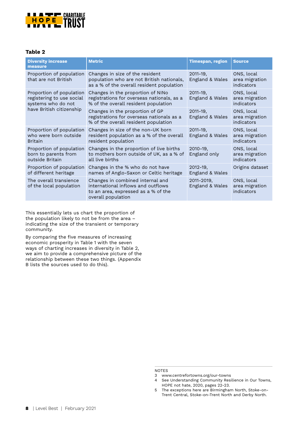

#### **Table 2**

| <b>Diversity increase</b><br>measure                                        | <b>Metric</b>                                                                                                                       | <b>Timespan, region</b>          | <b>Source</b>                              |
|-----------------------------------------------------------------------------|-------------------------------------------------------------------------------------------------------------------------------------|----------------------------------|--------------------------------------------|
| Proportion of population<br>that are not British                            | Changes in size of the resident<br>population who are not British nationals,<br>as a % of the overall resident population           | $2011 - 19$ ,<br>England & Wales | ONS, local<br>area migration<br>indicators |
| Proportion of population<br>registering to use social<br>systems who do not | Changes in the proportion of NINo<br>registrations for overseas nationals, as a<br>% of the overall resident population             | $2011 - 19$ ,<br>England & Wales | ONS, local<br>area migration<br>indicators |
| have British citizenship                                                    | Changes in the proportion of GP<br>registrations for overseas nationals as a<br>% of the overall resident population                | $2011 - 19$ ,<br>England & Wales | ONS, local<br>area migration<br>indicators |
| Proportion of population<br>who were born outside<br><b>Britain</b>         | Changes in size of the non-UK born<br>resident population as a % of the overall<br>resident population                              | $2011 - 19$ ,<br>England & Wales | ONS, local<br>area migration<br>indicators |
| Proportion of population<br>born to parents from<br>outside Britain         | Changes in the proportion of live births<br>to mothers born outside of UK, as a % of<br>all live births                             | $2010 - 19$ ,<br>England only    | ONS, local<br>area migration<br>indicators |
| Proportion of population<br>of different heritage                           | Changes in the % who do not have<br>names of Anglo-Saxon or Celtic heritage                                                         | $2012 - 19$ ,<br>England & Wales | Origins dataset                            |
| The overall transience<br>of the local population                           | Changes in combined internal and<br>international inflows and outflows<br>to an area, expressed as a % of the<br>overall population | 2011-2019,<br>England & Wales    | ONS, local<br>area migration<br>indicators |

This essentially lets us chart the proportion of the population likely to not be from the area – indicating the size of the transient or temporary community.

By comparing the five measures of increasing economic prosperity in Table 1 with the seven ways of charting increases in diversity in Table 2, we aim to provide a comprehensive picture of the relationship between these two things. (Appendix B lists the sources used to do this).

NOTES

4 See [Understanding Community Resilience in Our Towns](http://www.hopenothate.org.uk/wp-content/uploads/2020/09/Understanding-community-resilience-in-our-towns.pdf), HOPE not hate, 2020, pages 22-23.

<sup>3</sup> www.centrefortowns.org/our-towns

<sup>5</sup> The exceptions here are Birmingham North, Stoke-on-Trent Central, Stoke-on-Trent North and Derby North.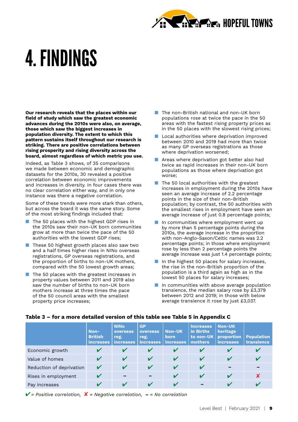

# 4. FINDINGS

**Our research reveals that the places within our field of study which saw the greatest economic advances during the 2010s were also, on average, those which saw the biggest increases in population diversity. The extent to which this pattern sustains itself throughout our research is striking. There are positive correlations between rising prosperity and rising diversity across the board, almost regardless of which metric you use.**

Indeed, as Table 3 shows, of 35 comparisons we made between economic and demographic datasets for the 2010s, 30 revealed a positive correlation between economic improvements and increases in diversity. In four cases there was no clear correlation either way, and in only one instance was there a negative correlation.

Some of these trends were more stark than others, but across the board it was the same story. Some of the most striking findings included that:

- $\blacksquare$  The 50 places with the highest GDP rises in the 2010s saw their non-UK born communities grow at more than twice the pace of the 50 authorities with the lowest GDP rises;
- $\blacksquare$  These 50 highest growth places also saw two and a half times higher rises in NINo overseas registrations, GP overseas registrations, and the proportion of births to non-UK mothers, compared with the 50 lowest growth areas;
- $\blacksquare$  The 50 places with the greatest increases in property values between 2011 and 2019 also saw the number of births to non-UK born mothers increase at three times the pace of the 50 council areas with the smallest property price increases;
- $\blacksquare$  The non-British national and non-UK born populations rose at twice the pace in the 50 areas with the fastest rising property prices as in the 50 places with the slowest rising prices;
- $\blacksquare$  Local authorities where deprivation improved between 2010 and 2019 had more than twice as many GP overseas registrations as those where deprivation worsened;
- $\blacksquare$  Areas where deprivation got better also had twice as rapid increases in their non-UK born populations as those where deprivation got worse;
- $\blacksquare$  The 50 local authorities with the greatest increases in employment during the 2010s have seen an average increase of 2.2 percentage points in the size of their non-British population; by contrast, the 50 authorities with the smallest rises in employment have seen an average increase of just 0.8 percentage points;
- In communities where employment went up by more than 5 percentage points during the 2010s, the average increase in the proportion with non-Anglo-Saxon/Celtic names was 2.2 percentage points; in those where employment rose by less than 2 percentage points the average increase was just 1.4 percentage points;
- n In the highest 50 places for salary increases, the rise in the non-British proportion of the population is a third again as high as in the lowest 50 places for salary increases;
- $\blacksquare$  In communities with above average population transience, the median salary rose by £3,379 between 2012 and 2019; in those with below average transience it rose by just £3,037.

|                          | Non-<br><b>British</b><br><b>increases</b> | <b>NiNo</b><br>overseas<br>reg.<br>increases | <b>GP</b><br>overseas<br>reg.<br><i>increases</i> | <b>Non-UK</b><br><b>born</b><br>increases | <b>Increases</b><br>in Births<br>to non-UK<br>mothers | Non-UK<br>heritage<br>proportion<br><b>increases</b> | <b>Population</b><br>transience |
|--------------------------|--------------------------------------------|----------------------------------------------|---------------------------------------------------|-------------------------------------------|-------------------------------------------------------|------------------------------------------------------|---------------------------------|
| Economic growth          |                                            |                                              |                                                   |                                           |                                                       |                                                      |                                 |
| Value of homes           |                                            | V                                            | V                                                 | V                                         | V                                                     |                                                      |                                 |
| Reduction of deprivation |                                            | V                                            | V                                                 | V                                         |                                                       |                                                      |                                 |
| Rises in employment      |                                            |                                              |                                                   |                                           |                                                       | V                                                    |                                 |
| Pay increases            |                                            |                                              |                                                   |                                           |                                                       |                                                      |                                 |

#### **Table 3 – for a more detailed version of this table see Table 5 in Appendix C**

4*= Positive correlation,* 8 *= Negative correlation,* **–** *= No correlation*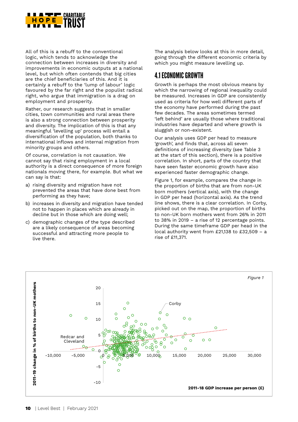

All of this is a rebuff to the conventional logic, which tends to acknowledge the connection between increases in diversity and improvements in economic outputs at a national level, but which often contends that big cities are the chief beneficiaries of this. And it is certainly a rebuff to the 'lump of labour' logic favoured by the far right and the populist radical right, who argue that immigration is a drag on employment and prosperity.

Rather, our research suggests that in smaller cities, town communities and rural areas there is also a strong connection between prosperity and diversity. The implication of this is that any meaningful 'levelling up' process will entail a diversification of the population, both thanks to international inflows and internal migration from minority groups and others.

Of course, correlation is not causation. We cannot say that rising employment in a local authority is a direct consequence of more foreign nationals moving there, for example. But what we can say is that:

- a) rising diversity and migration have not prevented the areas that have done best from performing as they have;
- b) increases in diversity and migration have tended not to happen in places which are already in decline but in those which are doing well;
- c) demographic changes of the type described are a likely consequence of areas becoming successful and attracting more people to live there.

The analysis below looks at this in more detail, going through the different economic criteria by which you might measure levelling up.

### 4.1 ECONOMIC GROWTH

Growth is perhaps the most obvious means by which the narrowing of regional inequality could be measured. Increases in GDP are consistently used as criteria for how well different parts of the economy have performed during the past few decades. The areas sometimes termed 'left behind' are usually those where traditional industries have departed and where growth is sluggish or non-existent.

Our analysis uses GDP per head to measure 'growth', and finds that, across all seven definitions of increasing diversity (see Table 3 at the start of this section), there is a positive correlation. In short, parts of the country that have seen faster economic growth have also experienced faster demographic change.

Figure 1, for example, compares the change in the proportion of births that are from non-UK born mothers (vertical axis), with the change in GDP per head (horizontal axis). As the trend line shows, there is a clear correlation. In Corby, picked out on the map, the proportion of births to non-UK born mothers went from 26% in 2011 to 38% in 2019 – a rise of 12 percentage points. During the same timeframe GDP per head in the local authority went from £21,138 to £32,509 – a rise of £11,371.

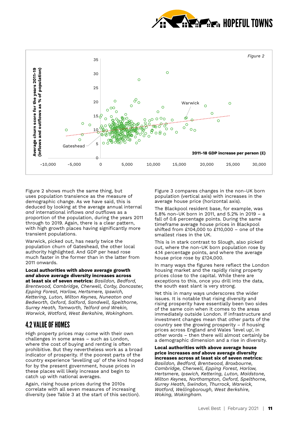



Figure 2 shows much the same thing, but uses population transience as the measure of demographic change. As we have said, this is deduced by looking at the average annual internal *and* international inflows *and* outflows as a proportion of the population, during the years 2011 through to 2019. Again, there is a clear pattern, with high growth places having significantly more transient populations.

Warwick, picked out, has nearly twice the population churn of Gateshead, the other local authority highlighted. And GDP per head rose much faster in the former than in the latter from 2011 onwards.

**Local authorities with above average growth**  *and* **above average diversity increases across at least six of seven metrics:** *Basildon, Bedford, Brentwood, Cambridge, Cherwell, Corby, Doncaster, Epping Forest, Harlow, Hertsmere, Ipswich, Kettering, Luton, Milton Keynes, Nuneaton and Bedworth, Oxford, Salford, Sandwell, Spelthorne, Surrey Heath, Tamworth, Telford and Wrekin, Warwick, Watford, West Berkshire, Wokingham.*

### 4.2 VALUE OF HOMES

High property prices may come with their own challenges in some areas – such as London, where the cost of buying and renting is often prohibitive. But they nevertheless work as a broad indicator of prosperity. If the poorest parts of the country experience 'levelling up' of the kind hoped for by the present government, house prices in these places will likely increase and begin to catch up with national averages.

Again, rising house prices during the 2010s correlate with all seven measures of increasing diversity (see Table 3 at the start of this section).

Figure 3 compares changes in the non-UK born population (vertical axis) with increases in the average house price (horizontal axis).

The Blackpool resident base, for example, was 5.8% non-UK born in 2011, and 5.2% in 2019 – a fall of 0.6 percentage points. During the same timeframe average house prices in Blackpool shifted from £104,000 to £110,000 – one of the smallest rises in the UK.

This is in stark contrast to Slough, also picked out, where the non-UK born population rose by 4.14 percentage points, and where the average house price rose by £124,000.

In many ways the figures here reflect the London housing market and the rapidly rising property prices close to the capital. While there are exceptions to this, once you drill into the data, the south east slant is very strong.

Yet this in many ways underscores the wider issues. It is notable that rising diversity and rising prosperity have essentially been two sides of the same coin when it comes to the areas immediately outside London. If infrastructure and investment changes mean that other parts of the country see the growing prosperity – if housing prices across England and Wales 'level up', in other words – then there will almost certainly be a demographic dimension and a rise in diversity.

#### **Local authorities with above average house price increases** *and* **above average diversity increases across at least six of seven metrics:**  *Basildon, Bedford, Brentwood, Broxbourne,*

*Cambridge, Cherwell, Epping Forest, Harlow, Hertsmere, Ipswich, Kettering, Luton, Maidstone, Milton Keynes, Northampton, Oxford, Spelthorne, Surrey Heath, Swindon, Thurrock, Warwick, Watford, Wellingborough, West Berkshire, Woking, Wokingham.*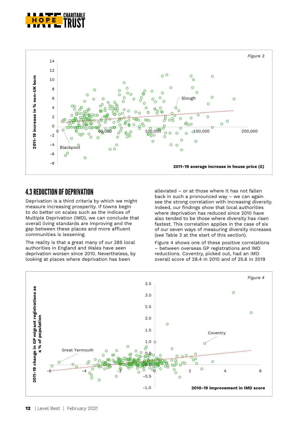



### 4.3 REDUCTION OF DEPRIVATION

Deprivation is a third criteria by which we might measure increasing prosperity. If towns begin to do better on scales such as the Indices of Multiple Deprivation (IMD), we can conclude that overall living standards are improving and the gap between these places and more affluent communities is lessening.

The reality is that a great many of our 285 local authorities in England and Wales have seen deprivation worsen since 2010. Nevertheless, by looking at places where deprivation has been

alleviated – or at those where it has not fallen back in such a pronounced way – we can again see the strong correlation with increasing diversity. Indeed, our findings show that local authorities where deprivation has reduced since 2010 have also tended to be those where diversity has risen fastest. This correlation applies in the case of six of our seven ways of measuring diversity increases (see Table 3 at the start of this section).

Figure 4 shows one of these positive correlations – between overseas GP registrations and IMD reductions. Coventry, picked out, had an IMD overall score of 28.4 in 2010 and of 25.6 in 2019

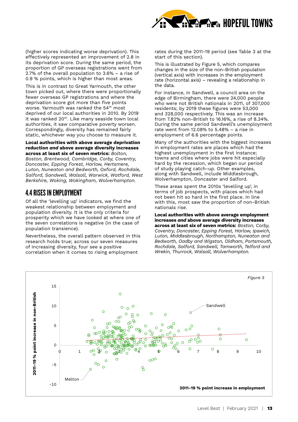

(higher scores indicating worse deprivation). This effectively represented an improvement of 2.8 in its deprivation score. During the same period, the proportion of GP overseas registrations went from 2.7% of the overall population to 3.6% – a rise of 0.9 % points, which is higher than most areas.

This is in contrast to Great Yarmouth, the other town picked out, where there were proportionally fewer overseas GP registrations and where the deprivation score got more than five points worse. Yarmouth was ranked the 54<sup>th</sup> most deprived of our local authorities in 2010. By 2019 it was ranked 20<sup>th</sup>. Like many seaside town local authorities, it saw comparative poverty worsen. Correspondingly, diversity has remained fairly static, whichever way you choose to measure it.

**Local authorities with above average deprivation reduction** *and* **above average diversity increases across at least six of seven metrics:** *Bolton, Boston, Brentwood, Cambridge, Corby, Coventry, Doncaster, Epping Forest, Harlow, Hertsmere, Luton, Nuneaton and Bedworth, Oxford, Rochdale, Salford, Sandwell, Walsall, Warwick, Watford, West Berkshire, Woking, Wokingham, Wolverhampton.*

### 4.4 RISES IN EMPLOYMENT

Of all the 'levelling up' indicators, we find the weakest relationship between employment and population diversity. It is the only criteria for prosperity which we have looked at where one of the seven correlations is negative (in the case of population transience).

Nevertheless, the overall pattern observed in this research holds true; across our seven measures of increasing diversity, four see a positive correlation when it comes to rising employment

rates during the 2011-19 period (see Table 3 at the start of this section).

This is illustrated by Figure 5, which compares changes in the size of the non-British population (vertical axis) with increases in the employment rate (horizontal axis) – revealing a relationship in the data.

For instance, in Sandwell, a council area on the edge of Birmingham, there were 24,000 people who were not British nationals in 2011, of 307,000 residents; by 2019 these figures were 53,000 and 328,000 respectively. This was an increase from 7.82% non-British to 16.16%, a rise of 8.34%. During the same period Sandwell's unemployment rate went from 12.08% to 5.48% – a rise in employment of 6.6 percentage points.

Many of the authorities with the biggest increases in employment rates are places which had the highest unemployment in the first instance; towns and cities where jobs were hit especially hard by the recession, which began our period of study playing catch-up. Other examples, along with Sandwell, include Middlesbrough, Wolverhampton, Doncaster and Salford.

These areas spent the 2010s 'levelling up', in terms of job prospects, with places which had not been hit so hard in the first place. In line with this, most saw the proportion of non-British nationals rise.

#### **Local authorities with above average employment increases** *and* **above average diversity increases**

**across at least six of seven metrics:** *Boston, Corby, Coventry, Doncaster, Epping Forest, Harlow, Ipswich, Luton, Middlesbrough, Northampton, Nuneaton and Bedworth, Oadby and Wigston, Oldham, Portsmouth, Rochdale, Salford, Sandwell, Tamworth, Telford and Wrekin, Thurrock, Walsall, Wolverhampton.*

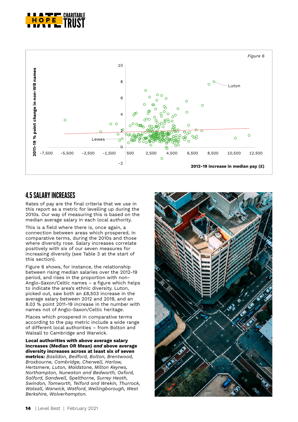



### 4.5 SALARY INCREASES

Rates of pay are the final criteria that we use in this report as a metric for levelling up during the 2010s. Our way of measuring this is based on the median average salary in each local authority.

This is a field where there is, once again, a connection between areas which prospered, in comparative terms, during the 2010s and those where diversity rose. Salary increases correlate positively with six of our seven measures for increasing diversity (see Table 3 at the start of this section).

Figure 6 shows, for instance, the relationship between rising median salaries over the 2012-19 period, and rises in the proportion with non-Anglo-Saxon/Celtic names – a figure which helps to indicate the area's ethnic diversity. Luton, picked out, saw both an £8,503 increase in the average salary between 2012 and 2019, and an 8.03 % point 2011-19 increase in the number with names not of Anglo-Saxon/Celtic heritage.

Places which prospered in comparative terms according to the pay metric include a wide range of different local authorities – from Bolton and Walsall to Cambridge and Warwick.

**Local authorities with above average salary increases (Median OR Mean)** *and* **above average diversity increases across at least six of seven metrics:** *Basildon, Bedford, Bolton, Brentwood, Broxbourne, Cambridge, Cherwell, Harlow, Hertsmere, Luton, Maidstone, Milton Keynes, Northampton, Nuneaton and Bedworth, Oxford, Salford, Sandwell, Spelthorne, Surrey Heath, Swindon, Tamworth, Telford and Wrekin, Thurrock, Walsall, Warwick, Watford, Wellingborough, West Berkshire, Wolverhampton.*

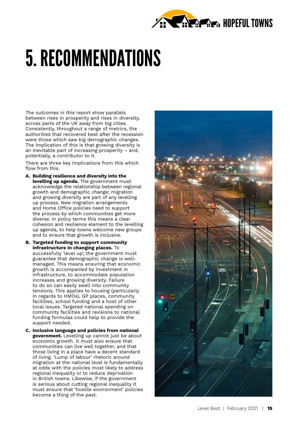

# 5. RECOMMENDATIONS

The outcomes in this report show parallels between rises in prosperity and rises in diversity, across parts of the UK away from big cities. Consistently, throughout a range of metrics, the authorities that recovered best after the recession were those which saw big demographic changes. The implication of this is that growing diversity is an inevitable part of increasing prosperity – and, potentially, a contributor to it.

There are three key implications from this which flow from this.

- **A. Building resilience and diversity into the levelling up agenda.** The government must acknowledge the relationship between regional growth and demographic change; migration and growing diversity are part of any levelling up process. New migration arrangements and Home Office policies need to support the process by which communities get more diverse. In policy terms this means a clear cohesion and resilience element to the levelling up agenda, to help towns welcome new groups and to ensure that growth is inclusive.
- **B. Targeted funding to support community infrastructure in changing places.** To successfully 'level up', the government must guarantee that demographic change is wellmanaged. This means ensuring that economic growth is accompanied by investment in infrastructure, to accommodate population increases and growing diversity. Failure to do so can easily swell into community tensions. This applies to housing (particularly in regards to HMOs), GP places, community facilities, school funding and a host of other local issues. Targeted national spending on community facilities and revisions to national funding formulas could help to provide the support needed.
- **C. Inclusive language and policies from national government.** Levelling up cannot just be about economic growth. It must also ensure that communities can live well together, and that those living in a place have a decent standard of living. 'Lump of labour' rhetoric around migration at the national level is fundamentally at odds with the policies most likely to address regional inequality or to reduce deprivation in British towns. Likewise, if the government is serious about cutting regional inequality it must ensure that 'hostile environment' policies become a thing of the past.

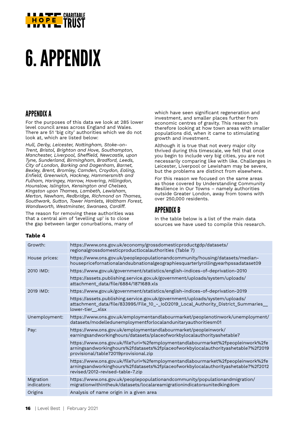

# 6. APPENDIX

### APPENDIX A

For the purposes of this data we look at 285 lower level council areas across England and Wales. There are 51 'big city' authorities which we do not look at, which are listed below:

*Hull, Derby, Leicester, Nottingham, Stoke-on-Trent, Bristol, Brighton and Hove, Southampton, Manchester, Liverpool, Sheffield, Newcastle, upon Tyne, Sunderland, Birmingham, Bradford, Leeds, City of London, Barking and Dagenham, Barnet, Bexley, Brent, Bromley, Camden, Croydon, Ealing, Enfield, Greenwich, Hackney, Hammersmith and Fulham, Haringey, Harrow, Havering, Hillingdon, Hounslow, Islington, Kensington and Chelsea, Kingston upon Thames, Lambeth, Lewisham, Merton, Newham, Redbridge, Richmond on Thames, Southwark, Sutton, Tower Hamlets, Waltham Forest, Wandsworth, Westminster, Swansea, Cardiff.*

The reason for removing these authorities was that a central aim of 'levelling up' is to close the gap between larger conurbations, many of

which have seen significant regeneration and investment, and smaller places further from economic centres of gravity. This research is therefore looking at how town areas with smaller populations did, when it came to stimulating growth and investment.

Although it is true that not every major city thrived during this timescale, we felt that once you begin to include very big cities, you are not necessarily comparing like with like. Challenges in Leicester, Liverpool or Lewisham may be severe, but the problems are distinct from elsewhere.

For this reason we focused on the same areas as those covered by Understanding Community Resilience in Our Towns – namely authorities outside Greater London, away from towns with over 250,000 residents.

### APPENDIX B

In the table below is a list of the main data sources we have used to compile this research.

#### **Table 4**

| Growth:                  | https://www.ons.gov.uk/economy/grossdomesticproductgdp/datasets/<br>regionalgrossdomesticproductlocalauthorities (Table 7)                                                                                   |
|--------------------------|--------------------------------------------------------------------------------------------------------------------------------------------------------------------------------------------------------------|
| House prices:            | https://www.ons.gov.uk/peoplepopulationandcommunity/housing/datasets/median-<br>housepricefornationalandsubnationalgeographiesquarterlyrollingyearhpssadataset09                                             |
| 2010 IMD:                | https://www.gov.uk/government/statistics/english-indices-of-deprivation-2010                                                                                                                                 |
|                          | https://assets.publishing.service.gov.uk/government/uploads/system/uploads/<br>attachment_data/file/6884/1871689.xls                                                                                         |
| 2019 IMD:                | https://www.gov.uk/government/statistics/english-indices-of-deprivation-2019                                                                                                                                 |
|                          | https://assets.publishing.service.gov.uk/government/uploads/system/uploads/<br>attachment_data/file/833995/File_10_-_IoD2019_Local_Authority_District_Summaries_<br>lower-tier__.xlsx                        |
| Unemployment:            | https://www.ons.gov.uk/employmentandlabourmarket/peoplenotinwork/unemployment/<br>datasets/modelledunemploymentforlocalandunitaryauthoritiesm01                                                              |
| Pay:                     | https://www.ons.gov.uk/employmentandlabourmarket/peopleinwork/<br>earningsandworkinghours/datasets/placeofworkbylocalauthorityashetable7                                                                     |
|                          | https://www.ons.gov.uk/file?uri=%2femploymentandlabourmarket%2fpeopleinwork%2fe<br>arningsandworkinghours%2fdatasets%2fplaceofworkbylocalauthorityashetable7%2f2019<br>provisional/table72019provisional.zip |
|                          | https://www.ons.gov.uk/file?uri=%2femploymentandlabourmarket%2fpeopleinwork%2fe<br>arningsandworkinghours%2fdatasets%2fplaceofworkbylocalauthorityashetable7%2f2012<br>revised/2012-revised-table-7.zip      |
| Migration<br>indicators: | https://www.ons.gov.uk/peoplepopulationandcommunity/populationandmigration/<br>migrationwithintheuk/datasets/localareamigrationindicatorsunitedkingdom                                                       |
| Origins                  | Analysis of name origin in a given area                                                                                                                                                                      |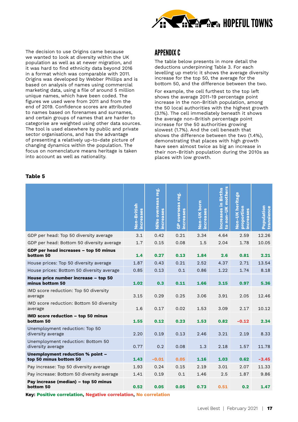

The decision to use Origins came because we wanted to look at diversity within the UK population as well as at newer migration, and it was hard to find ethnicity data beyond 2016 in a format which was comparable with 2011. Origins was developed by Webber Phillips and is based on analysis of names using commercial marketing data, using a file of around 5 million unique names, which have been coded. The figures we used were from 2011 and from the end of 2019. Confidence scores are attributed to names based on forenames and surnames, and certain groups of names that are harder to categorise are weighted using other data sources. The tool is used elsewhere by public and private sector organisations, and has the advantage of presenting a relatively up-to-date picture of changing dynamics within the population. The focus on nomenclature means heritage is taken into account as well as nationality.

### APPENDIX C

The table below presents in more detail the deductions underpinning Table 3. For each levelling up metric it shows the average diversity increase for the top 50, the average for the bottom 50, and the difference between the two.

For example, the cell furthest to the top left shows the average 2011-19 percentage point increase in the non-British population, among the 50 local authorities with the highest growth (3.1%). The cell immediately beneath it shows the average non-British percentage point increase for the 50 authorities growing slowest (1.7%). And the cell beneath that shows the difference between the two (1.4%), demonstrating that places with high growth have seen almost twice as big an increase in their non-British population during the 2010s as places with low growth.

#### **Table 5**

|                                                                 | Non-British<br>increases | NiNo overseas reg.<br>increases | <b>GP</b> overseas reg.<br>increases | Non-UK born<br>increases | non-UK mothers<br>Increases in Births<br>$\mathbf{S}$ | Non-UK heritage<br>proportion<br>creases<br>£ | <b>Population</b><br>transience |
|-----------------------------------------------------------------|--------------------------|---------------------------------|--------------------------------------|--------------------------|-------------------------------------------------------|-----------------------------------------------|---------------------------------|
| GDP per head: Top 50 diversity average                          | 3.1                      | 0.42                            | 0.21                                 | 3.34                     | 4.64                                                  | 2.59                                          | 12.26                           |
| GDP per head: Bottom 50 diversity average                       | 1.7                      | 0.15                            | 0.08                                 | 1.5                      | 2.04                                                  | 1.78                                          | 10.05                           |
| GDP per head increases - top 50 minus<br>bottom 50              | 1.4                      | 0.27                            | 0.13                                 | 1.84                     | 2.6                                                   | 0.81                                          | 2.21                            |
| House prices: Top 50 diversity average                          | 1.87                     | 0.43                            | 0.21                                 | 2.52                     | 4.37                                                  | 2.71                                          | 13.54                           |
| House prices: Bottom 50 diversity average                       | 0.85                     | 0.13                            | 0.1                                  | 0.86                     | 1.22                                                  | 1.74                                          | 8.18                            |
| House price number increase - top 50<br>minus bottom 50         | 1.02                     | 0.3                             | 0.11                                 | 1.66                     | 3.15                                                  | 0.97                                          | 5.36                            |
| IMD score reduction: Top 50 diversity<br>average                | 3.15                     | 0.29                            | 0.25                                 | 3.06                     | 3.91                                                  | 2.05                                          | 12.46                           |
| IMD score reduction: Bottom 50 diversity<br>average             | 1.6                      | 0.17                            | 0.02                                 | 1.53                     | 3.09                                                  | 2.17                                          | 10.12                           |
| IMD score reduction - top 50 minus<br>bottom 50                 | 1.55                     | 0.12                            | 0.23                                 | 1.53                     | 0.82                                                  | $-0.12$                                       | 2.34                            |
| Unemployment reduction: Top 50<br>diversity average             | 2.20                     | 0.19                            | 0.13                                 | 2.46                     | 3.21                                                  | 2.19                                          | 8.33                            |
| Unemployment reduction: Bottom 50<br>diversity average          | 0.77                     | 0.2                             | 0.08                                 | 1.3                      | 2.18                                                  | 1.57                                          | 11.78                           |
| Unemployment reduction % point -<br>top 50 minus bottom 50      | 1.43                     | $-0.01$                         | 0.05                                 | 1.16                     | 1.03                                                  | 0.62                                          | $-3.45$                         |
| Pay increase: Top 50 diversity average                          | 1.93                     | 0.24                            | 0.15                                 | 2.19                     | 3.01                                                  | 2.07                                          | 11.33                           |
| Pay increase: Bottom 50 diversity average                       | 1.41                     | 0.19                            | 0.1                                  | 1.46                     | 2.5                                                   | 1.87                                          | 9.86                            |
| Pay increase (median) - top 50 minus<br>bottom 50               | 0.52                     | 0.05                            | 0.05                                 | 0.73                     | 0.51                                                  | 0.2                                           | 1.47                            |
| Key: Positive correlation, Negative correlation, No correlation |                          |                                 |                                      |                          |                                                       |                                               |                                 |